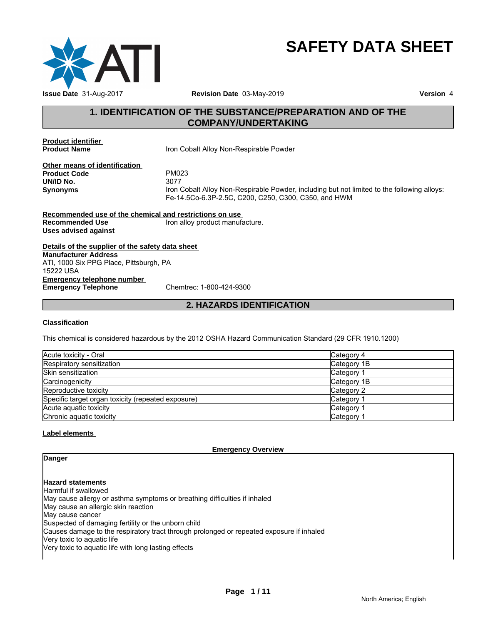

# **SAFETY DATA SHEET**

### **1. IDENTIFICATION OF THE SUBSTANCE/PREPARATION AND OF THE COMPANY/UNDERTAKING**

**Product identifier** 

**Iron Cobalt Alloy Non-Respirable Powder** 

**Other means of identification**<br>**Product Code** PM023 **Product Code** PM02<br> **PM02**<br> **PM03 UN/ID No.**<br>Synonyms

**Synonyms** Iron Cobalt Alloy Non-Respirable Powder, including but not limited to the following alloys: Fe-14.5Co-6.3P-2.5C, C200, C250, C300, C350, and HWM

**Recommended use of the chemical and restrictions on use Recommended Use Iron alloy product manufacture. Uses advised against**

**Details of the supplier of the safety data sheet Emergency telephone number<br>
Emergency Telephone**<br>
Chemtrec: 1-800-424-9300 **Emergency Telephone Manufacturer Address** ATI, 1000 Six PPG Place, Pittsburgh, PA 15222 USA

### **2. HAZARDS IDENTIFICATION**

#### **Classification**

This chemical is considered hazardous by the 2012 OSHA Hazard Communication Standard (29 CFR 1910.1200)

| Acute toxicity - Oral                              | Category 4  |
|----------------------------------------------------|-------------|
| Respiratory sensitization                          | Category 1B |
| <b>Skin sensitization</b>                          | Category    |
| Carcinogenicity                                    | Category 1B |
| Reproductive toxicity                              | Category 2  |
| Specific target organ toxicity (repeated exposure) | Category    |
| Acute aguatic toxicity                             | Category    |
| Chronic aquatic toxicity                           | Category    |

#### **Label elements**

**Emergency Overview**

### **Danger**

**Hazard statements**

Harmful if swallowed May cause allergy or asthma symptoms or breathing difficulties if inhaled May cause an allergic skin reaction May cause cancer Suspected of damaging fertility or the unborn child Causes damage to the respiratory tract through prolonged or repeated exposure if inhaled Very toxic to aquatic life Very toxic to aquatic life with long lasting effects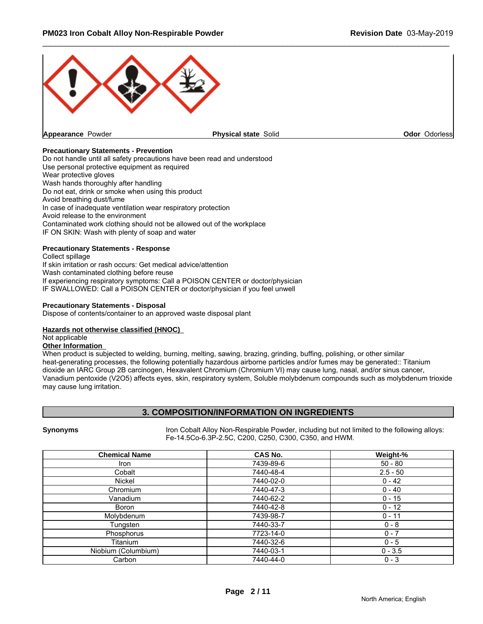

#### **Precautionary Statements - Prevention**

Do not handle until all safety precautions have been read and understood Use personal protective equipment as required Wear protective gloves Wash hands thoroughly after handling Do not eat, drink or smoke when using this product Avoid breathing dust/fume In case of inadequate ventilation wear respiratory protection Avoid release to the environment Contaminated work clothing should not be allowed out of the workplace IF ON SKIN: Wash with plenty of soap and water

#### **Precautionary Statements - Response**

Collect spillage If skin irritation or rash occurs: Get medical advice/attention Wash contaminated clothing before reuse If experiencing respiratory symptoms: Call a POISON CENTER or doctor/physician IF SWALLOWED: Call a POISON CENTER or doctor/physician if you feel unwell

#### **Precautionary Statements - Disposal**

Dispose of contents/container to an approved waste disposal plant

#### **Hazards not otherwise classified (HNOC)**

#### Not applicable

#### **Other Information**

When product is subjected to welding, burning, melting, sawing, brazing, grinding, buffing, polishing, or other similar heat-generating processes, the following potentially hazardous airborne particles and/or fumes may be generated:: Titanium dioxide an IARC Group 2B carcinogen, Hexavalent Chromium (Chromium VI) may cause lung, nasal, and/or sinus cancer, Vanadium pentoxide (V2O5) affects eyes, skin, respiratory system, Soluble molybdenum compounds such as molybdenum trioxide may cause lung irritation.

#### **3. COMPOSITION/INFORMATION ON INGREDIENTS**

**Synonyms I**ron Cobalt Alloy Non-Respirable Powder, including but not limited to the following alloys: Fe-14.5Co-6.3P-2.5C, C200, C250, C300, C350, and HWM.

| <b>Chemical Name</b> | <b>CAS No.</b> | Weight-%   |
|----------------------|----------------|------------|
| <b>Iron</b>          | 7439-89-6      | $50 - 80$  |
| Cobalt               | 7440-48-4      | $2.5 - 50$ |
| Nickel               | 7440-02-0      | $0 - 42$   |
| Chromium             | 7440-47-3      | $0 - 40$   |
| Vanadium             | 7440-62-2      | $0 - 15$   |
| Boron                | 7440-42-8      | $0 - 12$   |
| Molybdenum           | 7439-98-7      | $0 - 11$   |
| Tungsten             | 7440-33-7      | $0 - 8$    |
| Phosphorus           | 7723-14-0      | $0 - 7$    |
| Titanium             | 7440-32-6      | $0 - 5$    |
| Niobium (Columbium)  | 7440-03-1      | $0 - 3.5$  |
| Carbon               | 7440-44-0      | $0 - 3$    |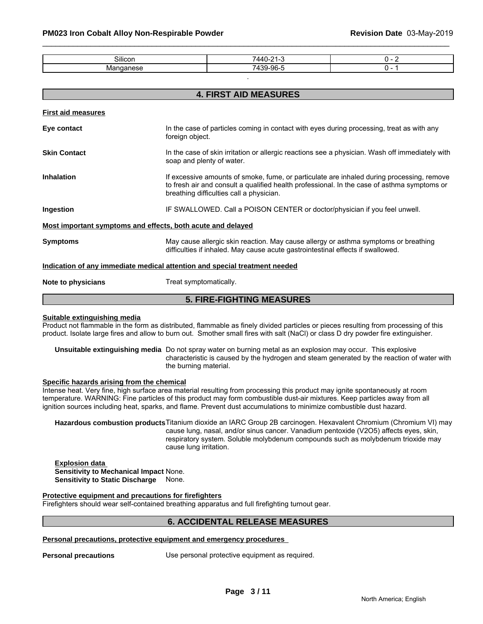| $\sim \cdots$<br><b>Silicon</b> | 7110<br><br>$\sim$ $\sim$                        | . .<br>. . |
|---------------------------------|--------------------------------------------------|------------|
|                                 | 06E<br>$-10$<br>$\overline{\phantom{a}}$<br>.7U- | . .        |

.

|                                                             | <b>4. FIRST AID MEASURES</b>                                                                                                                                                                                                         |  |  |
|-------------------------------------------------------------|--------------------------------------------------------------------------------------------------------------------------------------------------------------------------------------------------------------------------------------|--|--|
| <b>First aid measures</b>                                   |                                                                                                                                                                                                                                      |  |  |
| Eye contact                                                 | In the case of particles coming in contact with eyes during processing, treat as with any<br>foreign object.                                                                                                                         |  |  |
| <b>Skin Contact</b>                                         | In the case of skin irritation or allergic reactions see a physician. Wash off immediately with<br>soap and plenty of water.                                                                                                         |  |  |
| <b>Inhalation</b>                                           | If excessive amounts of smoke, fume, or particulate are inhaled during processing, remove<br>to fresh air and consult a qualified health professional. In the case of asthma symptoms or<br>breathing difficulties call a physician. |  |  |
| Ingestion                                                   | IF SWALLOWED. Call a POISON CENTER or doctor/physician if you feel unwell.                                                                                                                                                           |  |  |
| Most important symptoms and effects, both acute and delayed |                                                                                                                                                                                                                                      |  |  |
| <b>Symptoms</b>                                             | May cause allergic skin reaction. May cause allergy or asthma symptoms or breathing<br>difficulties if inhaled. May cause acute gastrointestinal effects if swallowed.                                                               |  |  |
|                                                             | Indication of any immediate medical attention and special treatment needed                                                                                                                                                           |  |  |
| Note to physicians                                          | Treat symptomatically.                                                                                                                                                                                                               |  |  |

### **5. FIRE-FIGHTING MEASURES**

#### **Suitable extinguishing media**

Product not flammable in the form as distributed, flammable as finely divided particles or pieces resulting from processing of this product. Isolate large fires and allow to burn out. Smother small fires with salt (NaCl) or class D dry powder fire extinguisher.

**Unsuitable extinguishing media** Do not spray water on burning metal as an explosion may occur. This explosive characteristic is caused by the hydrogen and steam generated by the reaction of water with the burning material.

#### **Specific hazards arising from the chemical**

Intense heat. Very fine, high surface area material resulting from processing this product may ignite spontaneously at room temperature. WARNING: Fine particles of this product may form combustible dust-air mixtures. Keep particles away from all ignition sources including heat, sparks, and flame. Prevent dust accumulations to minimize combustible dust hazard.

**Hazardous combustion products**Titanium dioxide an IARC Group 2B carcinogen. Hexavalent Chromium (Chromium VI) may cause lung, nasal, and/or sinus cancer. Vanadium pentoxide (V2O5) affects eyes, skin, respiratory system. Soluble molybdenum compounds such as molybdenum trioxide may cause lung irritation.

**Explosion data Sensitivity to Mechanical Impact** None. **Sensitivity to Static Discharge** None.

#### **Protective equipment and precautions for firefighters**

Firefighters should wear self-contained breathing apparatus and full firefighting turnout gear.

#### **6. ACCIDENTAL RELEASE MEASURES**

#### **Personal precautions, protective equipment and emergency procedures**

**Personal precautions** Use personal protective equipment as required.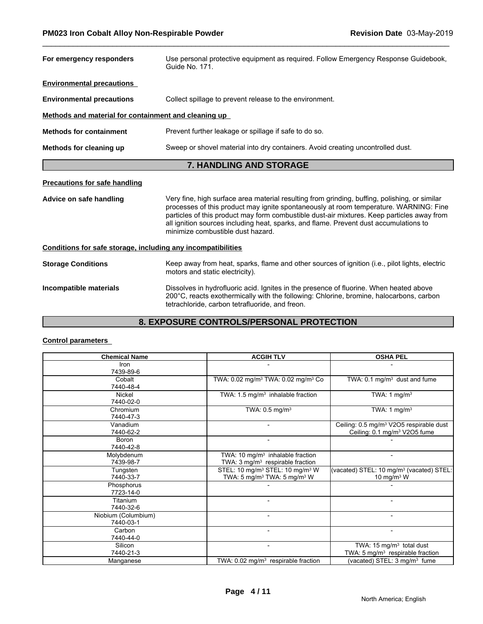| For emergency responders                                     | Use personal protective equipment as required. Follow Emergency Response Guidebook,<br>Guide No. 171.                                                                                                                                                                                                                                                                                                              |
|--------------------------------------------------------------|--------------------------------------------------------------------------------------------------------------------------------------------------------------------------------------------------------------------------------------------------------------------------------------------------------------------------------------------------------------------------------------------------------------------|
| <b>Environmental precautions</b>                             |                                                                                                                                                                                                                                                                                                                                                                                                                    |
| <b>Environmental precautions</b>                             | Collect spillage to prevent release to the environment.                                                                                                                                                                                                                                                                                                                                                            |
| Methods and material for containment and cleaning up         |                                                                                                                                                                                                                                                                                                                                                                                                                    |
| <b>Methods for containment</b>                               | Prevent further leakage or spillage if safe to do so.                                                                                                                                                                                                                                                                                                                                                              |
| Methods for cleaning up                                      | Sweep or shovel material into dry containers. Avoid creating uncontrolled dust.                                                                                                                                                                                                                                                                                                                                    |
|                                                              | <b>7. HANDLING AND STORAGE</b>                                                                                                                                                                                                                                                                                                                                                                                     |
| <b>Precautions for safe handling</b>                         |                                                                                                                                                                                                                                                                                                                                                                                                                    |
| Advice on safe handling                                      | Very fine, high surface area material resulting from grinding, buffing, polishing, or similar<br>processes of this product may ignite spontaneously at room temperature. WARNING: Fine<br>particles of this product may form combustible dust-air mixtures. Keep particles away from<br>all ignition sources including heat, sparks, and flame. Prevent dust accumulations to<br>minimize combustible dust hazard. |
| Conditions for safe storage, including any incompatibilities |                                                                                                                                                                                                                                                                                                                                                                                                                    |
| <b>Storage Conditions</b>                                    | Keep away from heat, sparks, flame and other sources of ignition (i.e., pilot lights, electric<br>motors and static electricity).                                                                                                                                                                                                                                                                                  |
| Incompatible materials                                       | Dissolves in hydrofluoric acid. Ignites in the presence of fluorine. When heated above<br>200°C, reacts exothermically with the following: Chlorine, bromine, halocarbons, carbon<br>tetrachloride, carbon tetrafluoride, and freon.                                                                                                                                                                               |

## **8. EXPOSURE CONTROLS/PERSONAL PROTECTION**

### **Control parameters**

| <b>Chemical Name</b> | <b>ACGIH TLV</b>                                           | <b>OSHA PEL</b>                                      |
|----------------------|------------------------------------------------------------|------------------------------------------------------|
| Iron                 |                                                            |                                                      |
| 7439-89-6            |                                                            |                                                      |
| Cobalt               | TWA: 0.02 mg/m <sup>3</sup> TWA: 0.02 mg/m <sup>3</sup> Co | TWA: 0.1 mg/m <sup>3</sup> dust and fume             |
| 7440-48-4            |                                                            |                                                      |
| Nickel               | TWA: 1.5 mg/m <sup>3</sup> inhalable fraction              | TWA: $1 \text{ mg/m}^3$                              |
| 7440-02-0            |                                                            |                                                      |
| Chromium             | TWA: $0.5$ mg/m <sup>3</sup>                               | TWA: 1 $mg/m3$                                       |
| 7440-47-3            |                                                            |                                                      |
| Vanadium             |                                                            | Ceiling: 0.5 mg/m <sup>3</sup> V2O5 respirable dust  |
| 7440-62-2            |                                                            | Ceiling: 0.1 mg/m <sup>3</sup> V2O5 fume             |
| <b>Boron</b>         |                                                            |                                                      |
| 7440-42-8            |                                                            |                                                      |
| Molybdenum           | TWA: 10 mg/m <sup>3</sup> inhalable fraction               | $\overline{\phantom{0}}$                             |
| 7439-98-7            | TWA: $3 \text{ mg/m}^3$ respirable fraction                |                                                      |
| Tungsten             | STEL: 10 mg/m <sup>3</sup> STEL: 10 mg/m <sup>3</sup> W    | (vacated) STEL: 10 mg/m <sup>3</sup> (vacated) STEL: |
| 7440-33-7            | TWA: 5 mg/m <sup>3</sup> TWA: 5 mg/m <sup>3</sup> W        | 10 mg/m $3$ W                                        |
| Phosphorus           |                                                            |                                                      |
| 7723-14-0            |                                                            |                                                      |
| Titanium             | $\overline{\phantom{a}}$                                   | $\blacksquare$                                       |
| 7440-32-6            |                                                            |                                                      |
| Niobium (Columbium)  |                                                            | $\overline{\phantom{0}}$                             |
| 7440-03-1            |                                                            |                                                      |
| Carbon               |                                                            |                                                      |
| 7440-44-0            |                                                            |                                                      |
| Silicon              |                                                            | TWA: 15 mg/m <sup>3</sup> total dust                 |
| 7440-21-3            |                                                            | TWA: 5 $mg/m3$ respirable fraction                   |
| Manganese            | TWA: $0.02 \text{ mg/m}^3$ respirable fraction             | (vacated) STEL: 3 mg/m <sup>3</sup> fume             |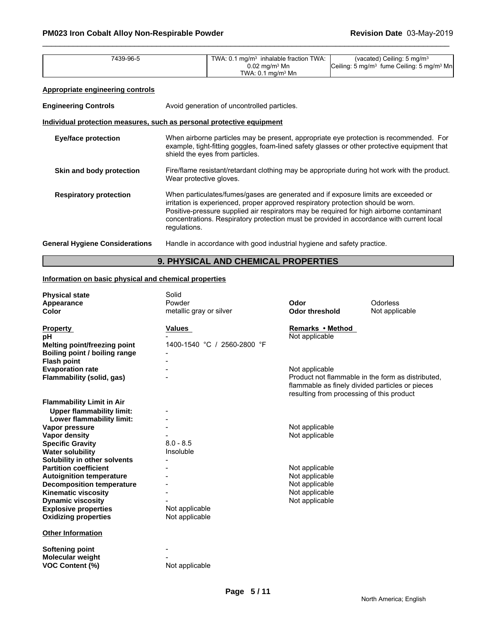| 7439-96-5                                                                    |                                                                                                                                                                                                                                                                                                                                                                                 | TWA: 0.1 mg/m <sup>3</sup> inhalable fraction TWA:<br>$0.02$ mg/m <sup>3</sup> Mn<br>TWA: $0.1 \text{ mg/m}^3$ Mn | (vacated) Ceiling: 5 mg/m <sup>3</sup><br>Ceiling: 5 mg/m <sup>3</sup> fume Ceiling: 5 mg/m <sup>3</sup> Mn |
|------------------------------------------------------------------------------|---------------------------------------------------------------------------------------------------------------------------------------------------------------------------------------------------------------------------------------------------------------------------------------------------------------------------------------------------------------------------------|-------------------------------------------------------------------------------------------------------------------|-------------------------------------------------------------------------------------------------------------|
| <b>Appropriate engineering controls</b>                                      |                                                                                                                                                                                                                                                                                                                                                                                 |                                                                                                                   |                                                                                                             |
| <b>Engineering Controls</b>                                                  | Avoid generation of uncontrolled particles.                                                                                                                                                                                                                                                                                                                                     |                                                                                                                   |                                                                                                             |
| <u>Individual protection measures, such as personal protective equipment</u> |                                                                                                                                                                                                                                                                                                                                                                                 |                                                                                                                   |                                                                                                             |
| <b>Eye/face protection</b>                                                   | When airborne particles may be present, appropriate eye protection is recommended. For<br>example, tight-fitting goggles, foam-lined safety glasses or other protective equipment that<br>shield the eyes from particles.                                                                                                                                                       |                                                                                                                   |                                                                                                             |
| Skin and body protection                                                     | Fire/flame resistant/retardant clothing may be appropriate during hot work with the product.<br>Wear protective gloves.                                                                                                                                                                                                                                                         |                                                                                                                   |                                                                                                             |
| <b>Respiratory protection</b>                                                | When particulates/fumes/gases are generated and if exposure limits are exceeded or<br>irritation is experienced, proper approved respiratory protection should be worn.<br>Positive-pressure supplied air respirators may be required for high airborne contaminant<br>concentrations. Respiratory protection must be provided in accordance with current local<br>regulations. |                                                                                                                   |                                                                                                             |
| <b>General Hygiene Considerations</b>                                        | Handle in accordance with good industrial hygiene and safety practice.                                                                                                                                                                                                                                                                                                          |                                                                                                                   |                                                                                                             |

### **9. PHYSICAL AND CHEMICAL PROPERTIES**

### **Information on basic physical and chemical properties**

| <b>Physical state</b>            | Solid                       |                                                   |                |
|----------------------------------|-----------------------------|---------------------------------------------------|----------------|
| Appearance                       | Powder                      | Odor                                              | Odorless       |
| <b>Color</b>                     | metallic gray or silver     | <b>Odor threshold</b>                             | Not applicable |
|                                  |                             |                                                   |                |
| <b>Property</b>                  | <b>Values</b>               | Remarks • Method                                  |                |
| pН                               |                             | Not applicable                                    |                |
| Melting point/freezing point     | 1400-1540 °C / 2560-2800 °F |                                                   |                |
| Boiling point / boiling range    |                             |                                                   |                |
| <b>Flash point</b>               |                             |                                                   |                |
| <b>Evaporation rate</b>          |                             | Not applicable                                    |                |
| Flammability (solid, gas)        |                             | Product not flammable in the form as distributed, |                |
|                                  |                             | flammable as finely divided particles or pieces   |                |
|                                  |                             | resulting from processing of this product         |                |
| <b>Flammability Limit in Air</b> |                             |                                                   |                |
| <b>Upper flammability limit:</b> |                             |                                                   |                |
| Lower flammability limit:        |                             |                                                   |                |
| Vapor pressure                   |                             | Not applicable                                    |                |
| <b>Vapor density</b>             |                             | Not applicable                                    |                |
| <b>Specific Gravity</b>          | $8.0 - 8.5$                 |                                                   |                |
| <b>Water solubility</b>          | Insoluble                   |                                                   |                |
| Solubility in other solvents     |                             |                                                   |                |
| <b>Partition coefficient</b>     |                             | Not applicable                                    |                |
| <b>Autoignition temperature</b>  |                             | Not applicable                                    |                |
| <b>Decomposition temperature</b> |                             | Not applicable                                    |                |
| <b>Kinematic viscosity</b>       |                             | Not applicable                                    |                |
| <b>Dynamic viscosity</b>         |                             | Not applicable                                    |                |
| <b>Explosive properties</b>      | Not applicable              |                                                   |                |
| <b>Oxidizing properties</b>      | Not applicable              |                                                   |                |
| <b>Other Information</b>         |                             |                                                   |                |
|                                  |                             |                                                   |                |
| <b>Softening point</b>           |                             |                                                   |                |
| Molecular weight                 |                             |                                                   |                |
| <b>VOC Content (%)</b>           | Not applicable              |                                                   |                |
|                                  |                             |                                                   |                |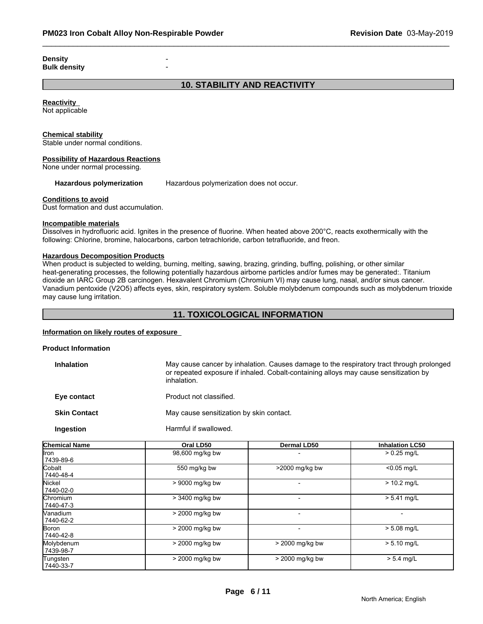**Density Bulk density** -

### **10. STABILITY AND REACTIVITY**

**Reactivity**  Not applicable

#### **Chemical stability**

Stable under normal conditions.

#### **Possibility of Hazardous Reactions**

None under normal processing.

**Hazardous polymerization** Hazardous polymerization does not occur.

#### **Conditions to avoid**

Dust formation and dust accumulation.

#### **Incompatible materials**

Dissolves in hydrofluoric acid. Ignites in the presence of fluorine. When heated above 200°C, reacts exothermically with the following: Chlorine, bromine, halocarbons, carbon tetrachloride, carbon tetrafluoride, and freon.

#### **Hazardous Decomposition Products**

When product is subjected to welding, burning, melting, sawing, brazing, grinding, buffing, polishing, or other similar heat-generating processes, the following potentially hazardous airborne particles and/or fumes may be generated:. Titanium dioxide an IARC Group 2B carcinogen. Hexavalent Chromium (Chromium VI) may cause lung, nasal, and/or sinus cancer. Vanadium pentoxide (V2O5) affects eyes, skin, respiratory system. Soluble molybdenum compounds such as molybdenum trioxide may cause lung irritation.

#### **11. TOXICOLOGICAL INFORMATION**

#### **Information on likely routes of exposure**

| <b>Product Information</b> |                                                                                                                                                                                                 |
|----------------------------|-------------------------------------------------------------------------------------------------------------------------------------------------------------------------------------------------|
| <b>Inhalation</b>          | May cause cancer by inhalation. Causes damage to the respiratory tract through prolonged<br>or repeated exposure if inhaled. Cobalt-containing alloys may cause sensitization by<br>inhalation. |
| Eye contact                | Product not classified.                                                                                                                                                                         |
| <b>Skin Contact</b>        | May cause sensitization by skin contact.                                                                                                                                                        |
| <b>Ingestion</b>           | Harmful if swallowed.                                                                                                                                                                           |
|                            |                                                                                                                                                                                                 |

| <b>Chemical Name</b>          | Oral LD50         | <b>Dermal LD50</b> | <b>Inhalation LC50</b> |
|-------------------------------|-------------------|--------------------|------------------------|
| llron<br>7439-89-6            | 98,600 mg/kg bw   |                    | $> 0.25$ mg/L          |
| Cobalt<br>7440-48-4           | 550 mg/kg bw      | >2000 mg/kg bw     | $< 0.05$ mg/L          |
| Nickel<br>l 7440-02-0         | > 9000 mg/kg bw   |                    | $> 10.2$ mg/L          |
| Chromium<br>17440-47-3        | > 3400 mg/kg bw   |                    | $> 5.41$ mg/L          |
| <b>Nanadium</b><br>17440-62-2 | > 2000 mg/kg bw   |                    |                        |
| Boron<br>7440-42-8            | > 2000 mg/kg bw   |                    | $> 5.08$ mg/L          |
| Molybdenum<br>7439-98-7       | > 2000 mg/kg bw   | > 2000 mg/kg bw    | $> 5.10$ mg/L          |
| Tungsten<br> 7440-33-7        | $>$ 2000 mg/kg bw | $>$ 2000 mg/kg bw  | $> 5.4$ mg/L           |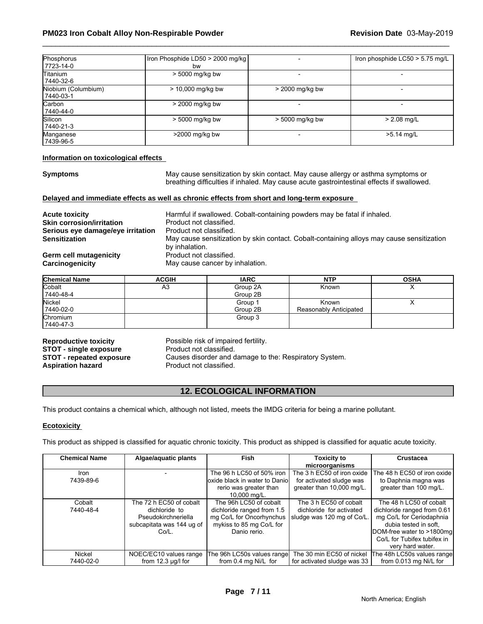| Phosphorus<br>17723-14-0           | Iron Phosphide LD50 > 2000 mg/kg<br>bw |                 | Iron phosphide LC50 > 5.75 mg/L |
|------------------------------------|----------------------------------------|-----------------|---------------------------------|
| Titanium<br>7440-32-6              | > 5000 mg/kg bw                        |                 |                                 |
| Niobium (Columbium)<br>  7440-03-1 | $> 10,000$ mg/kg bw                    | > 2000 mg/kg bw |                                 |
| Carbon<br>7440-44-0                | > 2000 mg/kg bw                        |                 |                                 |
| Silicon<br>7440-21-3               | > 5000 mg/kg bw                        | > 5000 mg/kg bw | $> 2.08$ mg/L                   |
| Manganese<br> 7439-96-5            | $>2000$ mg/kg bw                       |                 | $>5.14$ mg/L                    |

#### **Information on toxicological effects**

**Symptoms** May cause sensitization by skin contact. May cause allergy or asthma symptoms or breathing difficulties if inhaled. May cause acute gastrointestinal effects if swallowed.

#### **Delayed and immediate effects as well as chronic effects from short and long-term exposure**

| <b>Acute toxicity</b>             | Harmful if swallowed. Cobalt-containing powders may be fatal if inhaled.                  |
|-----------------------------------|-------------------------------------------------------------------------------------------|
| <b>Skin corrosion/irritation</b>  | Product not classified.                                                                   |
| Serious eye damage/eye irritation | Product not classified.                                                                   |
| <b>Sensitization</b>              | May cause sensitization by skin contact. Cobalt-containing alloys may cause sensitization |
|                                   | by inhalation.                                                                            |
| Germ cell mutagenicity            | Product not classified.                                                                   |
| Carcinogenicity                   | May cause cancer by inhalation.                                                           |

| <b>Chemical Name</b> | <b>ACGIH</b> | <b>IARC</b> | <b>NTP</b>             | <b>OSHA</b> |
|----------------------|--------------|-------------|------------------------|-------------|
| Cobalt               | A3           | Group 2A    | Known                  | ↗           |
| 7440-48-4            |              | Group 2B    |                        |             |
| Nickel               |              | Group 1     | Known                  | $\lambda$   |
| 7440-02-0            |              | Group 2B    | Reasonably Anticipated |             |
| Chromium             |              | Group 3     |                        |             |
| 7440-47-3            |              |             |                        |             |

**STOT - single exposure** 

**Reproductive toxicity** Possible risk of impaired fertility.<br>**STOT - single exposure** Product not classified. **STOT - repeated exposure** Causes disorder and damage to the: Respiratory System.<br>**Aspiration hazard** Product not classified. Product not classified.

### **12. ECOLOGICAL INFORMATION**

This product contains a chemical which, although not listed, meets the IMDG criteria for being a marine pollutant.

#### **Ecotoxicity**

This product as shipped is classified for aquatic chronic toxicity. This product as shipped is classified for aquatic acute toxicity.

| <b>Chemical Name</b> | Algae/aquatic plants                                                                                  | <b>Fish</b>                                                                                                                  | Toxicity to<br>microorganisms                                                       | <b>Crustacea</b>                                                                                                                                                                            |
|----------------------|-------------------------------------------------------------------------------------------------------|------------------------------------------------------------------------------------------------------------------------------|-------------------------------------------------------------------------------------|---------------------------------------------------------------------------------------------------------------------------------------------------------------------------------------------|
| Iron<br>7439-89-6    |                                                                                                       | The 96 h LC50 of 50% iron<br>loxide black in water to Daniol<br>rerio was greater than<br>10,000 mg/L.                       | The 3 h EC50 of iron oxide<br>for activated sludge was<br>greater than 10,000 mg/L. | The 48 h EC50 of iron oxide<br>to Daphnia magna was<br>greater than 100 mg/L.                                                                                                               |
| Cobalt<br>7440-48-4  | The 72 h EC50 of cobalt<br>dichloride to<br>Pseudokirchneriella<br>subcapitata was 144 ug of<br>Co/L. | The 96h LC50 of cobalt<br>dichloride ranged from 1.5<br>mg Co/L for Oncorhynchus<br>mykiss to 85 mg Co/L for<br>Danio rerio. | The 3 h EC50 of cobalt<br>dichloride for activated<br>sludge was 120 mg of Co/L.    | The 48 h LC50 of cobalt<br>dichloride ranged from 0.61<br>mg Co/L for Ceriodaphnia<br>dubia tested in soft.<br>DOM-free water to >1800mg<br>Co/L for Tubifex tubifex in<br>very hard water. |
| Nickel<br>7440-02-0  | NOEC/EC10 values range<br>from $12.3 \mu g/l$ for                                                     | The 96h LC50s values range<br>from 0.4 mg Ni/L for                                                                           | The 30 min EC50 of nickel<br>for activated sludge was 33                            | The 48h LC50s values range<br>from 0.013 mg Ni/L for                                                                                                                                        |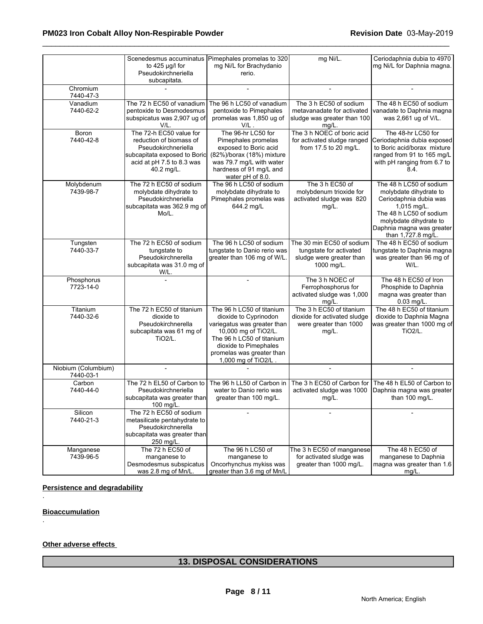|                                  | Scenedesmus accuminatus<br>to $425$ µg/l for<br>Pseudokirchneriella<br>subcapitata.                                                                  | Pimephales promelas to 320<br>mg Ni/L for Brachydanio<br>rerio.                                                                                                                                                     | mg Ni/L.                                                                                        | Ceriodaphnia dubia to 4970<br>mg Ni/L for Daphnia magna.                                                                                                                                           |
|----------------------------------|------------------------------------------------------------------------------------------------------------------------------------------------------|---------------------------------------------------------------------------------------------------------------------------------------------------------------------------------------------------------------------|-------------------------------------------------------------------------------------------------|----------------------------------------------------------------------------------------------------------------------------------------------------------------------------------------------------|
| Chromium<br>7440-47-3            |                                                                                                                                                      |                                                                                                                                                                                                                     |                                                                                                 |                                                                                                                                                                                                    |
| Vanadium<br>7440-62-2            | The 72 h EC50 of vanadium<br>pentoxide to Desmodesmus<br>subspicatus was 2,907 ug of<br>V/L.                                                         | The 96 h LC50 of vanadium<br>pentoxide to Pimephales<br>promelas was 1,850 ug of<br>$V/L$ .                                                                                                                         | The 3 h EC50 of sodium<br>metavanadate for activated<br>sludge was greater than 100<br>$mg/L$ . | The 48 h EC50 of sodium<br>vanadate to Daphnia magna<br>was 2,661 ug of V/L.                                                                                                                       |
| Boron<br>7440-42-8               | The 72-h EC50 value for<br>reduction of biomass of<br>Pseudokirchneriella<br>subcapitata exposed to Boric<br>acid at pH 7.5 to 8.3 was<br>40.2 mg/L. | The 96-hr LC50 for<br>Pimephales promelas<br>exposed to Boric acid<br>(82%)/borax (18%) mixture<br>was 79.7 mg/L with water<br>hardness of 91 mg/L and<br>water pH of 8.0.                                          | The 3 h NOEC of boric acid<br>for activated sludge ranged<br>from 17.5 to 20 mg/L.              | The 48-hr LC50 for<br>Ceriodaphnia dubia exposed<br>to Boric acid/borax mixture<br>ranged from 91 to 165 mg/L<br>with pH ranging from 6.7 to<br>8.4.                                               |
| Molybdenum<br>7439-98-7          | The 72 h EC50 of sodium<br>molybdate dihydrate to<br>Pseudokirchneriella<br>subcapitata was 362.9 mg of<br>Mo/L.                                     | The 96 h LC50 of sodium<br>molybdate dihydrate to<br>Pimephales promelas was<br>644.2 mg/L                                                                                                                          | The 3 h EC50 of<br>molybdenum trioxide for<br>activated sludge was 820<br>mg/L.                 | The 48 h LC50 of sodium<br>molybdate dihydrate to<br>Ceriodaphnia dubia was<br>1,015 mg/L.<br>The 48 h LC50 of sodium<br>molybdate dihydrate to<br>Daphnia magna was greater<br>than 1,727.8 mg/L. |
| Tungsten<br>7440-33-7            | The 72 h EC50 of sodium<br>tungstate to<br>Pseudokirchnerella<br>subcapitata was 31.0 mg of<br>W/L.                                                  | The 96 h LC50 of sodium<br>tungstate to Danio rerio was<br>greater than 106 mg of W/L.                                                                                                                              | The 30 min EC50 of sodium<br>tungstate for activated<br>sludge were greater than<br>1000 mg/L.  | The 48 h EC50 of sodium<br>tungstate to Daphnia magna<br>was greater than 96 mg of<br>W/L.                                                                                                         |
| Phosphorus<br>7723-14-0          |                                                                                                                                                      | ÷,                                                                                                                                                                                                                  | The 3 h NOEC of<br>Ferrophosphorus for<br>activated sludge was 1,000<br>$mg/L$ .                | The 48 h EC50 of Iron<br>Phosphide to Daphnia<br>magna was greater than<br>$0.03$ mg/L.                                                                                                            |
| Titanium<br>7440-32-6            | The 72 h EC50 of titanium<br>dioxide to<br>Pseudokirchnerella<br>subcapitata was 61 mg of<br>TiO <sub>2</sub> /L.                                    | The 96 h LC50 of titanium<br>dioxide to Cyprinodon<br>variegatus was greater than<br>10,000 mg of TiO2/L.<br>The 96 h LC50 of titanium<br>dioxide to Pimephales<br>promelas was greater than<br>1,000 mg of TiO2/L. | The 3 h EC50 of titanium<br>dioxide for activated sludge<br>were greater than 1000<br>mg/L.     | The 48 h EC50 of titanium<br>dioxide to Daphnia Magna<br>was greater than 1000 mg of<br>TiO <sub>2</sub> /L.                                                                                       |
| Niobium (Columbium)<br>7440-03-1 |                                                                                                                                                      |                                                                                                                                                                                                                     |                                                                                                 |                                                                                                                                                                                                    |
| Carbon<br>7440-44-0              | The 72 h EL50 of Carbon to<br>Pseudokirchneriella<br>subcapitata was greater than<br>100 mg/L.                                                       | The 96 h LL50 of Carbon in<br>water to Danio rerio was<br>greater than 100 mg/L.                                                                                                                                    | The 3 h EC50 of Carbon for<br>activated sludge was 1000<br>mg/L.                                | The 48 h EL50 of Carbon to<br>Daphnia magna was greater<br>than 100 mg/L.                                                                                                                          |
| Silicon<br>7440-21-3             | The 72 h EC50 of sodium<br>metasilicate pentahydrate to<br>Pseudokirchnerella<br>subcapitata was greater than<br>250 mg/L.                           |                                                                                                                                                                                                                     |                                                                                                 |                                                                                                                                                                                                    |
| Manganese<br>7439-96-5           | The 72 h EC50 of<br>manganese to<br>Desmodesmus subspicatus<br>was 2.8 mg of Mn/L.                                                                   | The 96 h LC50 of<br>manganese to<br>Oncorhynchus mykiss was<br>greater than 3.6 mg of Mn/L                                                                                                                          | The 3 h EC50 of manganese<br>for activated sludge was<br>greater than 1000 mg/L.                | The 48 h EC50 of<br>manganese to Daphnia<br>magna was greater than 1.6<br>mg/L.                                                                                                                    |

### **Persistence and degradability**

**Bioaccumulation**

.

.

### **Other adverse effects**

### **13. DISPOSAL CONSIDERATIONS**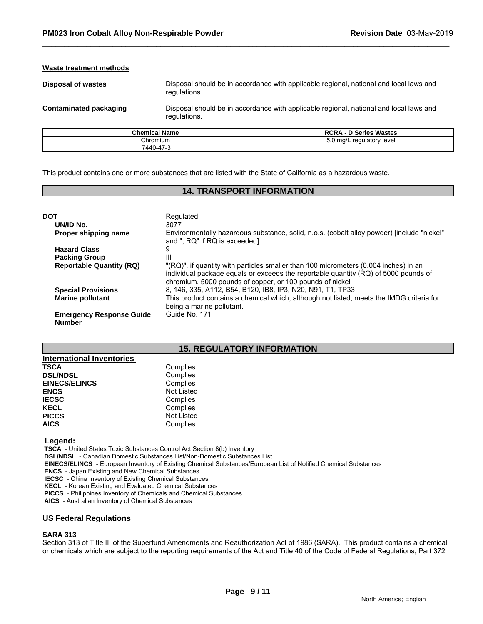#### **Waste treatment methods**

**Disposal of wastes** Disposal should be in accordance with applicable regional, national and local laws and regulations.

**Contaminated packaging** Disposal should be in accordance with applicable regional, national and local laws and regulations.

| <b>Chemical Name</b> | <b>RCRA - D Series Wastes</b> |
|----------------------|-------------------------------|
| Chromium             | 5.0 mg/L regulatory level     |
| 7440-47-3            |                               |

This product contains one or more substances that are listed with the State of California as a hazardous waste.

#### **14. TRANSPORT INFORMATION**

| <b>DOT</b>                                       | Regulated                                                                                                                                                                                                                               |
|--------------------------------------------------|-----------------------------------------------------------------------------------------------------------------------------------------------------------------------------------------------------------------------------------------|
| UN/ID No.                                        | 3077                                                                                                                                                                                                                                    |
| Proper shipping name                             | Environmentally hazardous substance, solid, n.o.s. (cobalt alloy powder) [include "nickel"<br>and ", RQ" if RQ is exceeded]                                                                                                             |
| <b>Hazard Class</b>                              | 9                                                                                                                                                                                                                                       |
| <b>Packing Group</b>                             | Ш                                                                                                                                                                                                                                       |
| <b>Reportable Quantity (RQ)</b>                  | "(RQ)", if quantity with particles smaller than 100 micrometers (0.004 inches) in an<br>individual package equals or exceeds the reportable quantity (RQ) of 5000 pounds of<br>chromium, 5000 pounds of copper, or 100 pounds of nickel |
| <b>Special Provisions</b>                        | 8, 146, 335, A112, B54, B120, IB8, IP3, N20, N91, T1, TP33                                                                                                                                                                              |
| <b>Marine pollutant</b>                          | This product contains a chemical which, although not listed, meets the IMDG criteria for<br>being a marine pollutant.                                                                                                                   |
| <b>Emergency Response Guide</b><br><b>Number</b> | Guide No. 171                                                                                                                                                                                                                           |

### **15. REGULATORY INFORMATION**

| <b>International Inventories</b> |                   |
|----------------------------------|-------------------|
| <b>TSCA</b>                      | Complies          |
| <b>DSL/NDSL</b>                  | Complies          |
| <b>EINECS/ELINCS</b>             | Complies          |
| <b>ENCS</b>                      | Not Listed        |
| <b>IECSC</b>                     | Complies          |
| <b>KECL</b>                      | Complies          |
| <b>PICCS</b>                     | <b>Not Listed</b> |
| <b>AICS</b>                      | Complies          |

 **Legend:** 

 **TSCA** - United States Toxic Substances Control Act Section 8(b) Inventory

 **DSL/NDSL** - Canadian Domestic Substances List/Non-Domestic Substances List

 **EINECS/ELINCS** - European Inventory of Existing Chemical Substances/European List of Notified Chemical Substances

 **ENCS** - Japan Existing and New Chemical Substances

 **IECSC** - China Inventory of Existing Chemical Substances

 **KECL** - Korean Existing and Evaluated Chemical Substances

 **PICCS** - Philippines Inventory of Chemicals and Chemical Substances

 **AICS** - Australian Inventory of Chemical Substances

#### **US Federal Regulations**

#### **SARA 313**

Section 313 of Title III of the Superfund Amendments and Reauthorization Act of 1986 (SARA). This product contains a chemical or chemicals which are subject to the reporting requirements of the Act and Title 40 of the Code of Federal Regulations, Part 372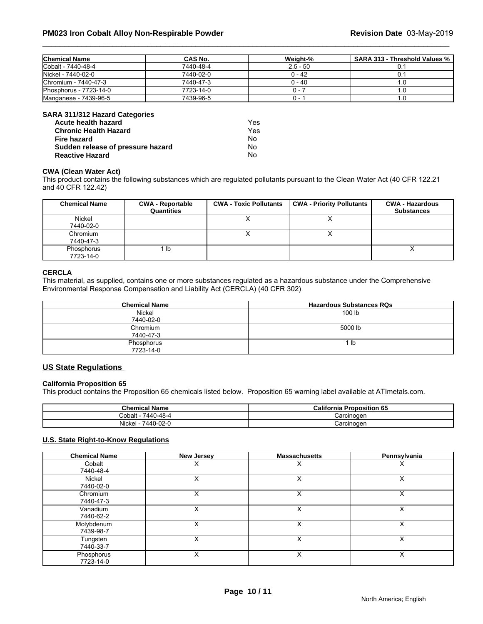| <b>Chemical Name</b>   | CAS No.   | Weiaht-%   | <b>SARA 313 - Threshold Values %</b> │ |
|------------------------|-----------|------------|----------------------------------------|
| Cobalt - 7440-48-4     | 7440-48-4 | $2.5 - 50$ |                                        |
| Nickel - 7440-02-0     | 7440-02-0 | 0 - 42     |                                        |
| Chromium - 7440-47-3   | 7440-47-3 | 0 - 40     |                                        |
| Phosphorus - 7723-14-0 | 7723-14-0 |            |                                        |
| Manganese - 7439-96-5  | 7439-96-5 | .          |                                        |

#### **SARA 311/312 Hazard Categories**

| Acute health hazard               | Yes |
|-----------------------------------|-----|
| <b>Chronic Health Hazard</b>      | Yes |
| Fire hazard                       | N٥  |
| Sudden release of pressure hazard | N٥  |
| <b>Reactive Hazard</b>            | No  |

### **CWA (Clean Water Act)**

This product contains the following substances which are regulated pollutants pursuant to the Clean Water Act (40 CFR 122.21 and 40 CFR 122.42)

| <b>Chemical Name</b> | <b>CWA - Reportable</b><br>Quantities | <b>CWA - Toxic Pollutants</b> | <b>CWA - Priority Pollutants</b> | <b>CWA - Hazardous</b><br><b>Substances</b> |
|----------------------|---------------------------------------|-------------------------------|----------------------------------|---------------------------------------------|
| Nickel               |                                       |                               | $\lambda$                        |                                             |
| 7440-02-0            |                                       |                               |                                  |                                             |
| Chromium             |                                       |                               | ↗                                |                                             |
| 7440-47-3            |                                       |                               |                                  |                                             |
| Phosphorus           | ∣ Ib                                  |                               |                                  |                                             |
| 7723-14-0            |                                       |                               |                                  |                                             |

#### **CERCLA**

This material, as supplied, contains one or more substances regulated as a hazardous substance under the Comprehensive Environmental Response Compensation and Liability Act (CERCLA) (40 CFR 302)

| <b>Chemical Name</b> | <b>Hazardous Substances RQs</b> |
|----------------------|---------------------------------|
| Nickel               | 100 lb                          |
| 7440-02-0            |                                 |
| Chromium             | 5000 lb                         |
| 7440-47-3            |                                 |
| Phosphorus           | -lb                             |
| 7723-14-0            |                                 |

#### **US State Regulations**

#### **California Proposition 65**

This product contains the Proposition 65 chemicals listed below. Proposition 65 warning label available at ATImetals.com.

| <b>Chemical Name</b>  | <b>California Proposition 65</b> |
|-----------------------|----------------------------------|
| 7440-48-4<br>Cobalt - | Carcinogen                       |
| 7440-02-0<br>Nickel   | Carcinogen                       |

#### **U.S. State Right-to-Know Regulations**

| <b>Chemical Name</b>    | New Jersey | <b>Massachusetts</b> | Pennsylvania |
|-------------------------|------------|----------------------|--------------|
| Cobalt<br>7440-48-4     |            |                      | ∧            |
| Nickel<br>7440-02-0     | Χ          | v<br>⋏               | X            |
| Chromium<br>7440-47-3   | X          |                      | X            |
| Vanadium<br>7440-62-2   | x          | v<br>⋏               | X            |
| Molybdenum<br>7439-98-7 | Χ          | x                    | X            |
| Tungsten<br>7440-33-7   |            | v<br>́               | X            |
| Phosphorus<br>7723-14-0 | X          | v<br>ᄉ               | X            |